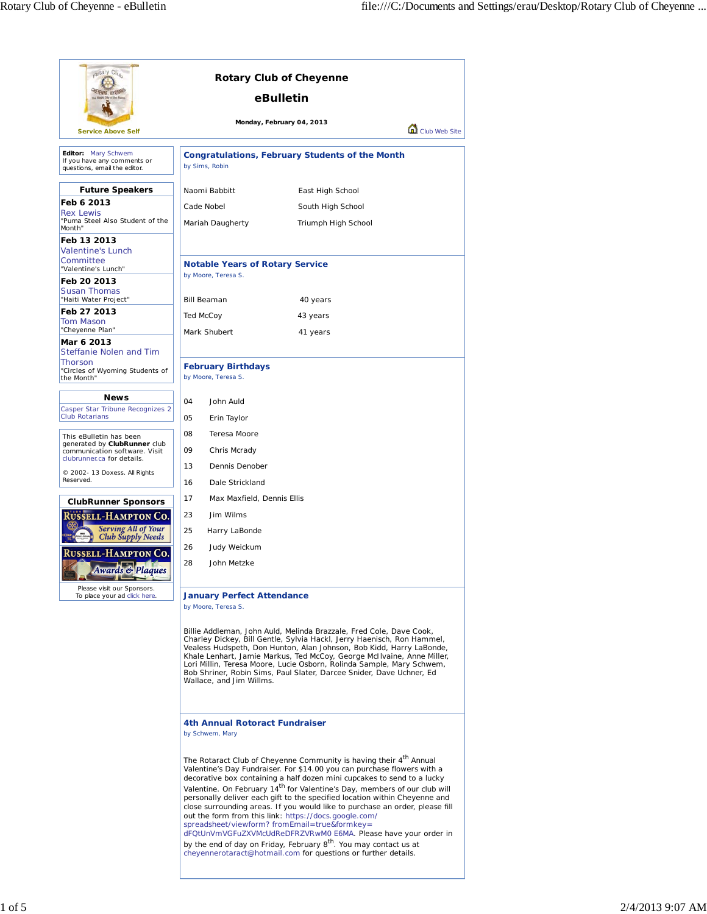| cotary Clus<br><b>Rotary Club of Cheyenne</b>                                                                                                                                                                                                                                                                                                                                                                                                                                |                                                                                                                                                                                                                                                                                                                                                                                                                                                                                                                                                                                                                                                                                                                                                                                                                            |                                            |  |  |
|------------------------------------------------------------------------------------------------------------------------------------------------------------------------------------------------------------------------------------------------------------------------------------------------------------------------------------------------------------------------------------------------------------------------------------------------------------------------------|----------------------------------------------------------------------------------------------------------------------------------------------------------------------------------------------------------------------------------------------------------------------------------------------------------------------------------------------------------------------------------------------------------------------------------------------------------------------------------------------------------------------------------------------------------------------------------------------------------------------------------------------------------------------------------------------------------------------------------------------------------------------------------------------------------------------------|--------------------------------------------|--|--|
|                                                                                                                                                                                                                                                                                                                                                                                                                                                                              | eBulletin                                                                                                                                                                                                                                                                                                                                                                                                                                                                                                                                                                                                                                                                                                                                                                                                                  |                                            |  |  |
| <b>Service Above Self</b>                                                                                                                                                                                                                                                                                                                                                                                                                                                    |                                                                                                                                                                                                                                                                                                                                                                                                                                                                                                                                                                                                                                                                                                                                                                                                                            | Monday, February 04, 2013<br>Club Web Site |  |  |
| Editor: Mary Schwem                                                                                                                                                                                                                                                                                                                                                                                                                                                          | <b>Congratulations, February Students of the Month</b>                                                                                                                                                                                                                                                                                                                                                                                                                                                                                                                                                                                                                                                                                                                                                                     |                                            |  |  |
| If you have any comments or<br>questions, email the editor.                                                                                                                                                                                                                                                                                                                                                                                                                  | by Sims, Robin                                                                                                                                                                                                                                                                                                                                                                                                                                                                                                                                                                                                                                                                                                                                                                                                             |                                            |  |  |
| <b>Future Speakers</b>                                                                                                                                                                                                                                                                                                                                                                                                                                                       | Naomi Babbitt                                                                                                                                                                                                                                                                                                                                                                                                                                                                                                                                                                                                                                                                                                                                                                                                              | East High School                           |  |  |
| Feb 6 2013<br><b>Rex Lewis</b>                                                                                                                                                                                                                                                                                                                                                                                                                                               | Cade Nobel                                                                                                                                                                                                                                                                                                                                                                                                                                                                                                                                                                                                                                                                                                                                                                                                                 | South High School                          |  |  |
| "Puma Steel Also Student of the<br>Month"                                                                                                                                                                                                                                                                                                                                                                                                                                    | Mariah Daugherty                                                                                                                                                                                                                                                                                                                                                                                                                                                                                                                                                                                                                                                                                                                                                                                                           | Triumph High School                        |  |  |
| Feb 13 2013                                                                                                                                                                                                                                                                                                                                                                                                                                                                  |                                                                                                                                                                                                                                                                                                                                                                                                                                                                                                                                                                                                                                                                                                                                                                                                                            |                                            |  |  |
| <b>Valentine's Lunch</b><br>Committee                                                                                                                                                                                                                                                                                                                                                                                                                                        | <b>Notable Years of Rotary Service</b>                                                                                                                                                                                                                                                                                                                                                                                                                                                                                                                                                                                                                                                                                                                                                                                     |                                            |  |  |
| "Valentine's Lunch"<br>Feb 20 2013                                                                                                                                                                                                                                                                                                                                                                                                                                           | by Moore, Teresa S.                                                                                                                                                                                                                                                                                                                                                                                                                                                                                                                                                                                                                                                                                                                                                                                                        |                                            |  |  |
| <b>Susan Thomas</b>                                                                                                                                                                                                                                                                                                                                                                                                                                                          |                                                                                                                                                                                                                                                                                                                                                                                                                                                                                                                                                                                                                                                                                                                                                                                                                            |                                            |  |  |
| "Haiti Water Project"                                                                                                                                                                                                                                                                                                                                                                                                                                                        | <b>Bill Beaman</b>                                                                                                                                                                                                                                                                                                                                                                                                                                                                                                                                                                                                                                                                                                                                                                                                         | 40 years                                   |  |  |
| Feb 27 2013<br><b>Tom Mason</b>                                                                                                                                                                                                                                                                                                                                                                                                                                              | Ted McCoy                                                                                                                                                                                                                                                                                                                                                                                                                                                                                                                                                                                                                                                                                                                                                                                                                  | 43 years                                   |  |  |
| "Cheyenne Plan"<br>Mar 6 2013                                                                                                                                                                                                                                                                                                                                                                                                                                                | Mark Shubert                                                                                                                                                                                                                                                                                                                                                                                                                                                                                                                                                                                                                                                                                                                                                                                                               | 41 years                                   |  |  |
| Steffanie Nolen and Tim                                                                                                                                                                                                                                                                                                                                                                                                                                                      |                                                                                                                                                                                                                                                                                                                                                                                                                                                                                                                                                                                                                                                                                                                                                                                                                            |                                            |  |  |
| Thorson<br>"Circles of Wyoming Students of<br>the Month"                                                                                                                                                                                                                                                                                                                                                                                                                     | <b>February Birthdays</b><br>by Moore, Teresa S.                                                                                                                                                                                                                                                                                                                                                                                                                                                                                                                                                                                                                                                                                                                                                                           |                                            |  |  |
| <b>News</b>                                                                                                                                                                                                                                                                                                                                                                                                                                                                  | 04<br>John Auld                                                                                                                                                                                                                                                                                                                                                                                                                                                                                                                                                                                                                                                                                                                                                                                                            |                                            |  |  |
| Casper Star Tribune Recognizes 2                                                                                                                                                                                                                                                                                                                                                                                                                                             |                                                                                                                                                                                                                                                                                                                                                                                                                                                                                                                                                                                                                                                                                                                                                                                                                            |                                            |  |  |
|                                                                                                                                                                                                                                                                                                                                                                                                                                                                              | <b>Club Rotarians</b><br>05<br>Erin Taylor                                                                                                                                                                                                                                                                                                                                                                                                                                                                                                                                                                                                                                                                                                                                                                                 |                                            |  |  |
| This eBulletin has been<br>generated by ClubRunner club<br>communication software. Visit<br>clubrunner.ca for details.                                                                                                                                                                                                                                                                                                                                                       | 08<br>Teresa Moore<br>09<br>Chris Mcrady                                                                                                                                                                                                                                                                                                                                                                                                                                                                                                                                                                                                                                                                                                                                                                                   |                                            |  |  |
| © 2002- 13 Doxess. All Rights                                                                                                                                                                                                                                                                                                                                                                                                                                                | 13<br>Dennis Denober                                                                                                                                                                                                                                                                                                                                                                                                                                                                                                                                                                                                                                                                                                                                                                                                       |                                            |  |  |
| Reserved.                                                                                                                                                                                                                                                                                                                                                                                                                                                                    | Dale Strickland<br>16                                                                                                                                                                                                                                                                                                                                                                                                                                                                                                                                                                                                                                                                                                                                                                                                      |                                            |  |  |
| <b>ClubRunner Sponsors</b>                                                                                                                                                                                                                                                                                                                                                                                                                                                   | 17<br>Max Maxfield, Dennis Ellis                                                                                                                                                                                                                                                                                                                                                                                                                                                                                                                                                                                                                                                                                                                                                                                           |                                            |  |  |
| <b>ISSELL-HAMPTON CO.</b>                                                                                                                                                                                                                                                                                                                                                                                                                                                    | Jim Wilms<br>23                                                                                                                                                                                                                                                                                                                                                                                                                                                                                                                                                                                                                                                                                                                                                                                                            |                                            |  |  |
| <b>Serving All of Your</b><br><b>Club Supply Needs</b>                                                                                                                                                                                                                                                                                                                                                                                                                       | 25<br>Harry LaBonde                                                                                                                                                                                                                                                                                                                                                                                                                                                                                                                                                                                                                                                                                                                                                                                                        |                                            |  |  |
| Russell-Hampton Co.                                                                                                                                                                                                                                                                                                                                                                                                                                                          | 26<br>Judy Weickum                                                                                                                                                                                                                                                                                                                                                                                                                                                                                                                                                                                                                                                                                                                                                                                                         |                                            |  |  |
| <b>Awards &amp; Plaques</b>                                                                                                                                                                                                                                                                                                                                                                                                                                                  | 28<br>John Metzke                                                                                                                                                                                                                                                                                                                                                                                                                                                                                                                                                                                                                                                                                                                                                                                                          |                                            |  |  |
| Please visit our Sponsors.<br>To place your ad click here.                                                                                                                                                                                                                                                                                                                                                                                                                   | <b>January Perfect Attendance</b><br>by Moore, Teresa S.                                                                                                                                                                                                                                                                                                                                                                                                                                                                                                                                                                                                                                                                                                                                                                   |                                            |  |  |
| Billie Addleman, John Auld, Melinda Brazzale, Fred Cole, Dave Cook,<br>Charley Dickey, Bill Gentle, Sylvia Hackl, Jerry Haenisch, Ron Hammel,<br>Vealess Hudspeth, Don Hunton, Alan Johnson, Bob Kidd, Harry LaBonde,<br>Khale Lenhart, Jamie Markus, Ted McCoy, George McIlvaine, Anne Miller,<br>Lori Millin, Teresa Moore, Lucie Osborn, Rolinda Sample, Mary Schwem,<br>Bob Shriner, Robin Sims, Paul Slater, Darcee Snider, Dave Uchner, Ed<br>Wallace, and Jim Willms. |                                                                                                                                                                                                                                                                                                                                                                                                                                                                                                                                                                                                                                                                                                                                                                                                                            |                                            |  |  |
|                                                                                                                                                                                                                                                                                                                                                                                                                                                                              | 4th Annual Rotoract Fundraiser<br>by Schwem, Mary                                                                                                                                                                                                                                                                                                                                                                                                                                                                                                                                                                                                                                                                                                                                                                          |                                            |  |  |
|                                                                                                                                                                                                                                                                                                                                                                                                                                                                              | The Rotaract Club of Cheyenne Community is having their 4 <sup>th</sup> Annual<br>Valentine's Day Fundraiser. For \$14.00 you can purchase flowers with a<br>decorative box containing a half dozen mini cupcakes to send to a lucky<br>Valentine. On February 14 <sup>th</sup> for Valentine's Day, members of our club will<br>personally deliver each gift to the specified location within Cheyenne and<br>close surrounding areas. If you would like to purchase an order, please fill<br>out the form from this link: https://docs.google.com/<br>spreadsheet/viewform? fromEmail=true&formkey=<br>dFQtUnVmVGFuZXVMcUdReDFRZVRwM0 E6MA. Please have your order in<br>by the end of day on Friday, February 8 <sup>th</sup> . You may contact us at<br>cheyennerotaract@hotmail.com for questions or further details. |                                            |  |  |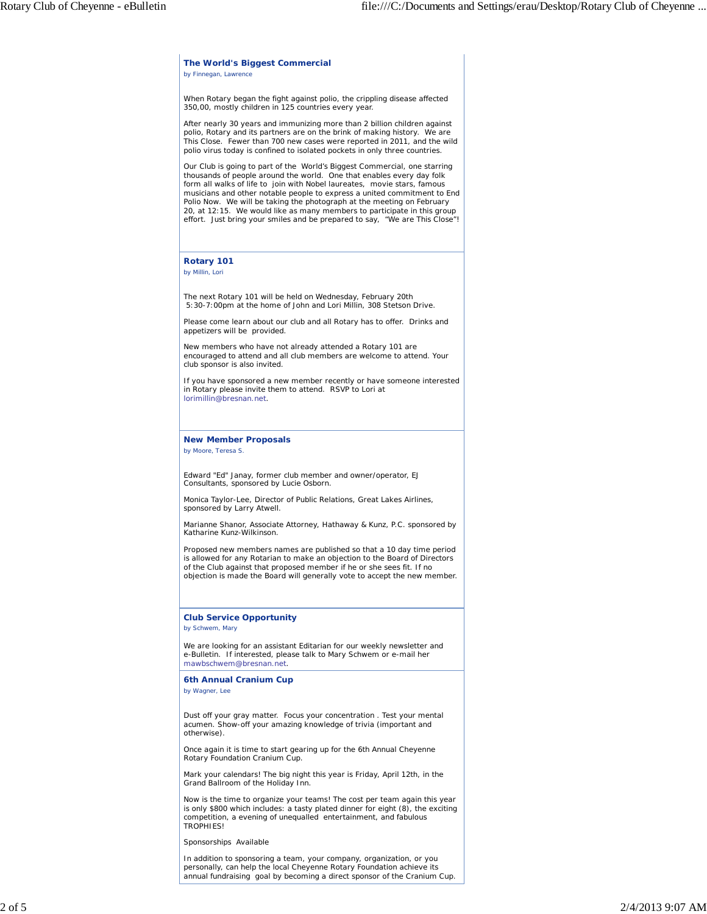#### **The World's Biggest Commercial** *by Finnegan, Lawrence*

When Rotary began the fight against polio, the crippling disease affected 350,00, mostly children in 125 countries every year.

After nearly 30 years and immunizing more than 2 billion children against polio, Rotary and its partners are on the brink of making history. We are This Close. Fewer than 700 new cases were reported in 2011, and the wild polio virus today is confined to isolated pockets in only three countries.

Our Club is going to part of the World's Biggest Commercial, one starring thousands of people around the world. One that enables every day folk form all walks of life to join with Nobel laureates, movie stars, famous musicians and other notable people to express a united commitment to End Polio Now. We will be taking the photograph at the meeting on February 20, at 12:15. We would like as many members to participate in this group effort. Just bring your smiles and be prepared to say, "We are This Close"!

## **Rotary 101**

*by Millin, Lori*

The next Rotary 101 will be held on Wednesday, February 20th 5:30-7:00pm at the home of John and Lori Millin, 308 Stetson Drive.

Please come learn about our club and all Rotary has to offer. Drinks and appetizers will be provided.

New members who have not already attended a Rotary 101 are encouraged to attend and all club members are welcome to attend. Your club sponsor is also invited.

If you have sponsored a new member recently or have someone interested in Rotary please invite them to attend. RSVP to Lori at lorimillin@bresnan.net.

### **New Member Proposals** *by Moore, Teresa S.*

Edward "Ed" Janay, former club member and owner/operator, EJ Consultants, sponsored by Lucie Osborn.

Monica Taylor-Lee, Director of Public Relations, Great Lakes Airlines, sponsored by Larry Atwell.

Marianne Shanor, Associate Attorney, Hathaway & Kunz, P.C. sponsored by Katharine Kunz-Wilkinson.

Proposed new members names are published so that a 10 day time period is allowed for any Rotarian to make an objection to the Board of Directors of the Club against that proposed member if he or she sees fit. If no objection is made the Board will generally vote to accept the new member.

## **Club Service Opportunity**

*by Schwem, Mary*

We are looking for an assistant Editarian for our weekly newsletter and e-Bulletin. If interested, please talk to Mary Schwem or e-mail her mawbschwem@bresnan.net.

### **6th Annual Cranium Cup**

*by Wagner, Lee*

Dust off your gray matter. Focus your concentration . Test your mental acumen. Show-off your amazing knowledge of trivia (important and otherwise).

Once again it is time to start gearing up for the 6th Annual Cheyenne Rotary Foundation Cranium Cup.

Mark your calendars! The big night this year is Friday, April 12th, in the Grand Ballroom of the Holiday Inn.

Now is the time to organize your teams! The cost per team again this year is only \$800 which includes: a tasty plated dinner for eight (8), the exciting competition, a evening of unequalled entertainment, and fabulous TROPHIES!

Sponsorships Available

In addition to sponsoring a team, your company, organization, or you personally, can help the local Cheyenne Rotary Foundation achieve its annual fundraising goal by becoming a direct sponsor of the Cranium Cup.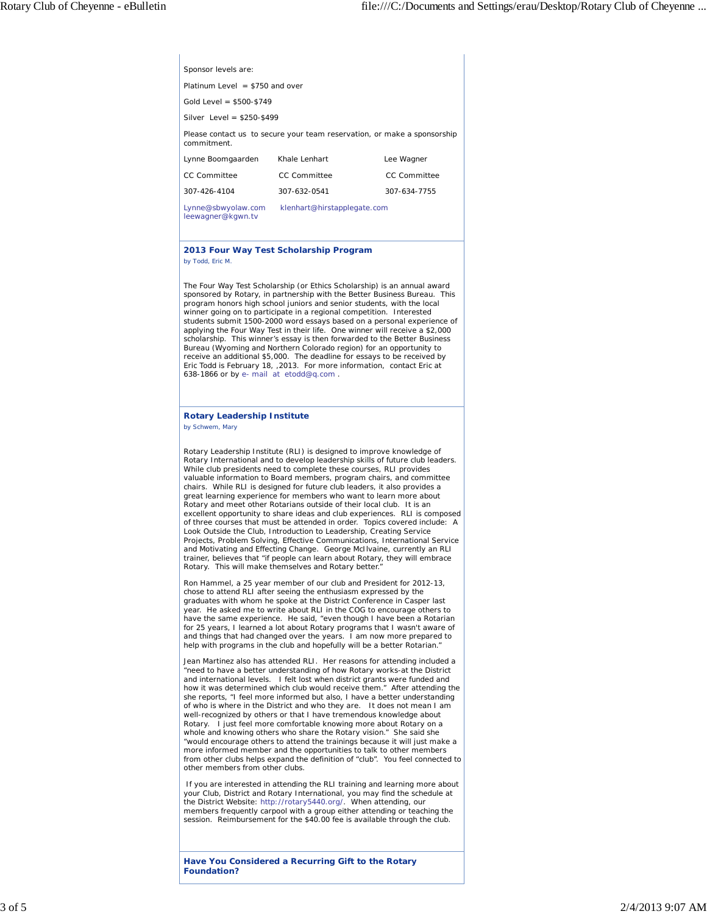| Platinum Level $= $750$ and over                                                        |               |              |  |
|-----------------------------------------------------------------------------------------|---------------|--------------|--|
| Gold Level = $$500-$749$                                                                |               |              |  |
| Silver Level = $$250-$499$                                                              |               |              |  |
| Please contact us to secure your team reservation, or make a sponsorship<br>commitment. |               |              |  |
| Lynne Boomgaarden                                                                       | Khale Lenhart | Lee Wagner   |  |
| CC Committee                                                                            | CC Committee  | CC Committee |  |
| 307-426-4104                                                                            | 307-632-0541  | 307-634-7755 |  |
| Lynne@sbwyolaw.com<br>klenhart@hirstapplegate.com<br>leewagner@kgwn.tv                  |               |              |  |

### **2013 Four Way Test Scholarship Program** *by Todd, Eric M.*

The Four Way Test Scholarship (or Ethics Scholarship) is an annual award sponsored by Rotary, in partnership with the Better Business Bureau. This program honors high school juniors and senior students, with the local winner going on to participate in a regional competition. Interested students submit 1500-2000 word essays based on a personal experience of applying the Four Way Test in their life. One winner will receive a \$2,000 scholarship. This winner's essay is then forwarded to the Better Business Bureau (Wyoming and Northern Colorado region) for an opportunity to receive an additional \$5,000. The deadline for essays to be received by Eric Todd is February 18, ,2013. For more information, contact Eric at 638-1866 or by e- mail at etodd@q.com .

# **Rotary Leadership Institute**

*by Schwem, Mary*

Sponsor levels are:

Rotary Leadership Institute (RLI) is designed to improve knowledge of Rotary International and to develop leadership skills of future club leaders. While club presidents need to complete these courses, RLI provides valuable information to Board members, program chairs, and committee chairs. While RLI is designed for future club leaders, it also provides a great learning experience for members who want to learn more about Rotary and meet other Rotarians outside of their local club. It is an excellent opportunity to share ideas and club experiences. RLI is composed of three courses that must be attended in order. Topics covered include: A Look Outside the Club, Introduction to Leadership, Creating Service Projects, Problem Solving, Effective Communications, International Service and Motivating and Effecting Change. George McIlvaine, currently an RLI trainer, believes that "if people can learn about Rotary, they will embrace Rotary. This will make themselves and Rotary better.

Ron Hammel, a 25 year member of our club and President for 2012-13, chose to attend RLI after seeing the enthusiasm expressed by the graduates with whom he spoke at the District Conference in Casper last year. He asked me to write about RLI in the COG to encourage others to have the same experience. He said, "even though I have been a Rotarian for 25 years, I learned a lot about Rotary programs that I wasn't aware of and things that had changed over the years. I am now more prepared to help with programs in the club and hopefully will be a better Rotarian.

Jean Martinez also has attended RLI. Her reasons for attending included a "need to have a better understanding of how Rotary works-at the District and international levels. I felt lost when district grants were funded and how it was determined which club would receive them." After attending the she reports, "I feel more informed but also, I have a better understanding of who is where in the District and who they are. It does not mean I am well-recognized by others or that I have tremendous knowledge about Rotary. I just feel more comfortable knowing more about Rotary on a whole and knowing others who share the Rotary vision." She said she "would encourage others to attend the trainings because it will just make a more informed member and the opportunities to talk to other members from other clubs helps expand the definition of "club". You feel connected to other members from other clubs.

 If you are interested in attending the RLI training and learning more about your Club, District and Rotary International, you may find the schedule at the District Website: http://rotary5440.org/. When attending, our members frequently carpool with a group either attending or teaching the session. Reimbursement for the \$40.00 fee is available through the club.

**Have You Considered a Recurring Gift to the Rotary Foundation?**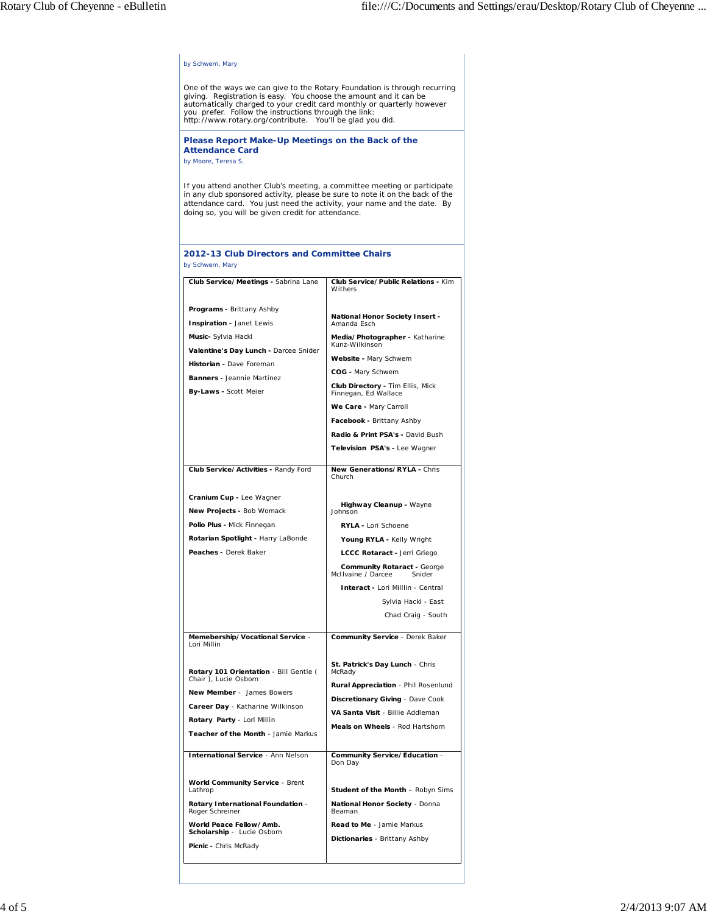| by Schwem, Mary                                                                                                                                                                                                                                                                                                                                |                                                             |  |  |  |  |
|------------------------------------------------------------------------------------------------------------------------------------------------------------------------------------------------------------------------------------------------------------------------------------------------------------------------------------------------|-------------------------------------------------------------|--|--|--|--|
| One of the ways we can give to the Rotary Foundation is through recurring<br>giving. Registration is easy. You choose the amount and it can be<br>automatically charged to your credit card monthly or quarterly however<br>you prefer. Follow the instructions through the link:<br>http://www.rotary.org/contribute. You'll be glad you did. |                                                             |  |  |  |  |
| Please Report Make-Up Meetings on the Back of the<br><b>Attendance Card</b><br>by Moore, Teresa S.                                                                                                                                                                                                                                             |                                                             |  |  |  |  |
| If you attend another Club's meeting, a committee meeting or participate<br>in any club sponsored activity, please be sure to note it on the back of the<br>attendance card. You just need the activity, your name and the date. By<br>doing so, you will be given credit for attendance.                                                      |                                                             |  |  |  |  |
| 2012-13 Club Directors and Committee Chairs<br>by Schwem, Mary                                                                                                                                                                                                                                                                                 |                                                             |  |  |  |  |
| Club Service/Meetings - Sabrina Lane                                                                                                                                                                                                                                                                                                           | Club Service/Public Relations - Kim                         |  |  |  |  |
|                                                                                                                                                                                                                                                                                                                                                | Withers                                                     |  |  |  |  |
| Programs - Brittany Ashby                                                                                                                                                                                                                                                                                                                      | National Honor Society Insert -                             |  |  |  |  |
| Inspiration - Janet Lewis                                                                                                                                                                                                                                                                                                                      | Amanda Esch                                                 |  |  |  |  |
| Music- Sylvia Hackl                                                                                                                                                                                                                                                                                                                            | Media/Photographer - Katharine<br>Kunz-Wilkinson            |  |  |  |  |
| Valentine's Day Lunch - Darcee Snider<br>Historian - Dave Foreman                                                                                                                                                                                                                                                                              | Website - Mary Schwem                                       |  |  |  |  |
| <b>Banners - Jeannie Martinez</b>                                                                                                                                                                                                                                                                                                              | COG - Mary Schwem                                           |  |  |  |  |
| By-Laws - Scott Meier                                                                                                                                                                                                                                                                                                                          | Club Directory - Tim Ellis, Mick<br>Finnegan, Ed Wallace    |  |  |  |  |
|                                                                                                                                                                                                                                                                                                                                                | We Care - Mary Carroll                                      |  |  |  |  |
|                                                                                                                                                                                                                                                                                                                                                | Facebook - Brittany Ashby                                   |  |  |  |  |
|                                                                                                                                                                                                                                                                                                                                                | Radio & Print PSA's - David Bush                            |  |  |  |  |
|                                                                                                                                                                                                                                                                                                                                                | Television PSA's - Lee Wagner                               |  |  |  |  |
| Club Service/Activities - Randy Ford                                                                                                                                                                                                                                                                                                           | New Generations/RYLA - Chris<br>Church                      |  |  |  |  |
| Cranium Cup - Lee Wagner                                                                                                                                                                                                                                                                                                                       |                                                             |  |  |  |  |
| New Projects - Bob Womack                                                                                                                                                                                                                                                                                                                      | Highway Cleanup - Wayne<br>Johnson                          |  |  |  |  |
| Polio Plus - Mick Finnegan                                                                                                                                                                                                                                                                                                                     | RYLA - Lori Schoene                                         |  |  |  |  |
| Rotarian Spotlight - Harry LaBonde                                                                                                                                                                                                                                                                                                             | Young RYLA - Kelly Wright                                   |  |  |  |  |
| Peaches - Derek Baker                                                                                                                                                                                                                                                                                                                          | LCCC Rotaract - Jerri Griego                                |  |  |  |  |
|                                                                                                                                                                                                                                                                                                                                                | Community Rotaract - George<br>McIIvaine / Darcee<br>Snider |  |  |  |  |
|                                                                                                                                                                                                                                                                                                                                                | Interact - Lori Milllin - Central                           |  |  |  |  |
|                                                                                                                                                                                                                                                                                                                                                | Sylvia Hackl - East                                         |  |  |  |  |
|                                                                                                                                                                                                                                                                                                                                                | Chad Craig - South                                          |  |  |  |  |
| Memebership/Vocational Service -<br>Lori Millin                                                                                                                                                                                                                                                                                                | Community Service - Derek Baker                             |  |  |  |  |
| Rotary 101 Orientation - Bill Gentle (                                                                                                                                                                                                                                                                                                         | St. Patrick's Day Lunch - Chris<br>McRady                   |  |  |  |  |
| Chair), Lucie Osborn                                                                                                                                                                                                                                                                                                                           | Rural Appreciation - Phil Rosenlund                         |  |  |  |  |
| New Member - James Bowers                                                                                                                                                                                                                                                                                                                      | Discretionary Giving - Dave Cook                            |  |  |  |  |
| Career Day - Katharine Wilkinson<br>Rotary Party - Lori Millin                                                                                                                                                                                                                                                                                 | VA Santa Visit - Billie Addleman                            |  |  |  |  |
| Teacher of the Month - Jamie Markus                                                                                                                                                                                                                                                                                                            | Meals on Wheels - Rod Hartshorn                             |  |  |  |  |
| <b>International Service - Ann Nelson</b>                                                                                                                                                                                                                                                                                                      | Community Service/Education -<br>Don Day                    |  |  |  |  |
| <b>World Community Service - Brent</b><br>Lathrop                                                                                                                                                                                                                                                                                              | <b>Student of the Month - Robyn Sims</b>                    |  |  |  |  |
| Rotary International Foundation -<br>Roger Schreiner                                                                                                                                                                                                                                                                                           | National Honor Society - Donna<br>Beaman                    |  |  |  |  |
| World Peace Fellow/Amb.<br>Scholarship - Lucie Osborn                                                                                                                                                                                                                                                                                          | Read to Me - Jamie Markus                                   |  |  |  |  |
| Picnic - Chris McRady                                                                                                                                                                                                                                                                                                                          | Dictionaries - Brittany Ashby                               |  |  |  |  |
|                                                                                                                                                                                                                                                                                                                                                |                                                             |  |  |  |  |